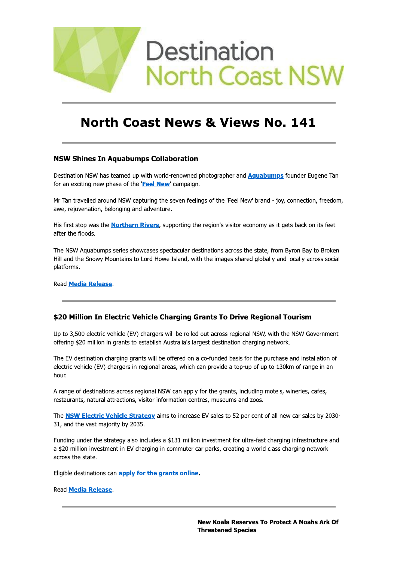

# **North Coast News & Views No. 141**

# **NSW Shines In Aquabumps Collaboration**

Destination NSW has teamed up with world-renowned photographer and **Aquabumps** founder Eugene Tan for an exciting new phase of the 'Feel New' campaign.

Mr Tan travelled around NSW capturing the seven feelings of the 'Feel New' brand - joy, connection, freedom, awe, rejuvenation, belonging and adventure.

His first stop was the **Northern Rivers**, supporting the region's visitor economy as it gets back on its feet after the floods.

The NSW Aquabumps series showcases spectacular destinations across the state, from Byron Bay to Broken Hill and the Snowy Mountains to Lord Howe Island, with the images shared globally and locally across social platforms.

Read Media Release.

# \$20 Million In Electric Vehicle Charging Grants To Drive Regional Tourism

Up to 3,500 electric vehicle (EV) chargers will be rolled out across regional NSW, with the NSW Government offering \$20 million in grants to establish Australia's largest destination charging network.

The EV destination charging grants will be offered on a co-funded basis for the purchase and installation of electric vehicle (EV) chargers in regional areas, which can provide a top-up of up to 130km of range in an hour.

A range of destinations across regional NSW can apply for the grants, including motels, wineries, cafes, restaurants, natural attractions, visitor information centres, museums and zoos.

The **NSW Electric Vehicle Strategy** aims to increase EV sales to 52 per cent of all new car sales by 2030-31, and the vast majority by 2035.

Funding under the strategy also includes a \$131 million investment for ultra-fast charging infrastructure and a \$20 million investment in EV charging in commuter car parks, creating a world class charging network across the state.

Eligible destinations can apply for the grants online.

Read **Media Release**.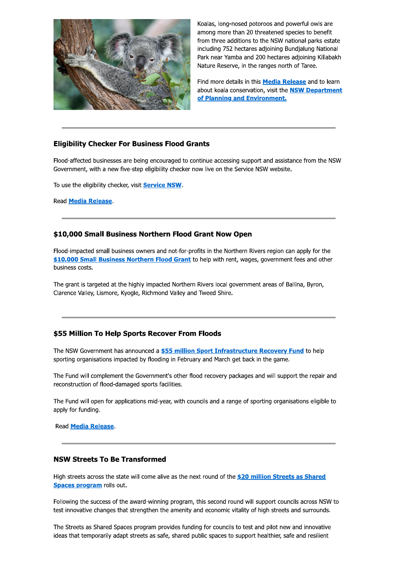

Koalas, long-nosed potoroos and powerful owls are among more than 20 threatened species to benefit from three additions to the NSW national parks estate including 752 hectares adjoining Bundjalung National Park near Yamba and 200 hectares adjoining Killabakh Nature Reserve, in the ranges north of Taree.

Find more details in this **Media Release** and to learn about koala conservation, visit the **NSW Department** of Planning and Environment.

# **Eligibility Checker For Business Flood Grants**

Flood-affected businesses are being encouraged to continue accessing support and assistance from the NSW Government, with a new five-step eligibility checker now live on the Service NSW website.

To use the eligibility checker, visit **Service NSW**.

**Read Media Release.** 

# \$10,000 Small Business Northern Flood Grant Now Open

Flood-impacted small business owners and not-for-profits in the Northern Rivers region can apply for the \$10,000 Small Business Northern Flood Grant to help with rent, wages, government fees and other business costs.

The grant is targeted at the highly impacted Northern Rivers local government areas of Ballina, Byron, Clarence Valley, Lismore, Kyogle, Richmond Valley and Tweed Shire.

# \$55 Million To Help Sports Recover From Floods

The NSW Government has announced a \$55 million Sport Infrastructure Recovery Fund to help sporting organisations impacted by flooding in February and March get back in the game.

The Fund will complement the Government's other flood recovery packages and will support the repair and reconstruction of flood-damaged sports facilities.

The Fund will open for applications mid-year, with councils and a range of sporting organisations eligible to apply for funding.

Read **Media Release**.

# **NSW Streets To Be Transformed**

High streets across the state will come alive as the next round of the \$20 million Streets as Shared Spaces program rolls out.

Following the success of the award-winning program, this second round will support councils across NSW to test innovative changes that strengthen the amenity and economic vitality of high streets and surrounds.

The Streets as Shared Spaces program provides funding for councils to test and pilot new and innovative ideas that temporarily adapt streets as safe, shared public spaces to support healthier, safe and resilient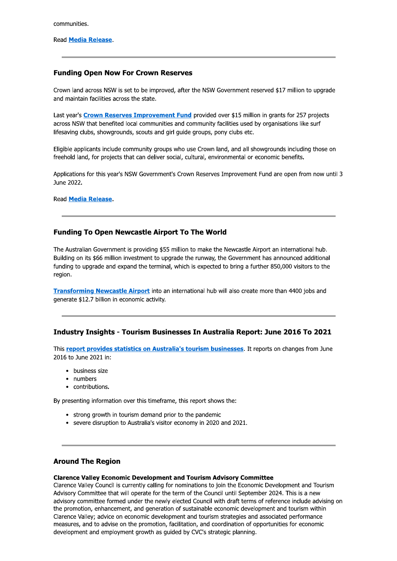communities.

# **Funding Open Now For Crown Reserves**

Crown land across NSW is set to be improved, after the NSW Government reserved \$17 million to upgrade and maintain facilities across the state.

Last year's Crown Reserves Improvement Fund provided over \$15 million in grants for 257 projects across NSW that benefited local communities and community facilities used by organisations like surf lifesaving clubs, showgrounds, scouts and girl guide groups, pony clubs etc.

Eligible applicants include community groups who use Crown land, and all showgrounds including those on freehold land, for projects that can deliver social, cultural, environmental or economic benefits.

Applications for this year's NSW Government's Crown Reserves Improvement Fund are open from now until 3 June 2022.

**Read Media Release.** 

# **Funding To Open Newcastle Airport To The World**

The Australian Government is providing \$55 million to make the Newcastle Airport an international hub. Building on its \$66 million investment to upgrade the runway, the Government has announced additional funding to upgrade and expand the terminal, which is expected to bring a further 850,000 visitors to the region.

Transforming Newcastle Airport into an international hub will also create more than 4400 jobs and generate \$12.7 billion in economic activity.

# Industry Insights - Tourism Businesses In Australia Report: June 2016 To 2021

This report provides statistics on Australia's tourism businesses. It reports on changes from June 2016 to June 2021 in:

- business size
- numbers
- contributions.

By presenting information over this timeframe, this report shows the:

- strong growth in tourism demand prior to the pandemic
- severe disruption to Australia's visitor economy in 2020 and 2021.

# **Around The Region**

# **Clarence Valley Economic Development and Tourism Advisory Committee**

Clarence Valley Council is currently calling for nominations to join the Economic Development and Tourism Advisory Committee that will operate for the term of the Council until September 2024. This is a new advisory committee formed under the newly elected Council with draft terms of reference include advising on the promotion, enhancement, and generation of sustainable economic development and tourism within Clarence Valley: advice on economic development and tourism strategies and associated performance measures, and to advise on the promotion, facilitation, and coordination of opportunities for economic development and employment growth as guided by CVC's strategic planning.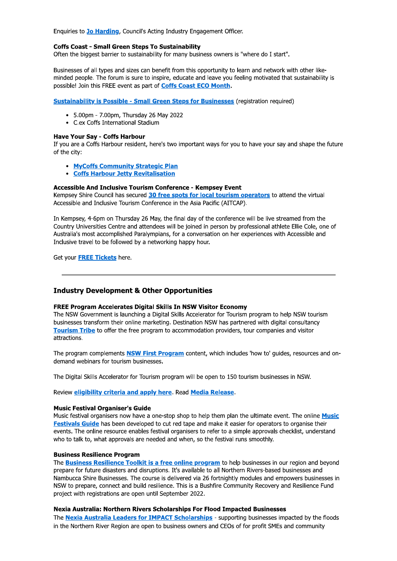Enquiries to Jo Harding, Council's Acting Industry Engagement Officer.

#### **Coffs Coast - Small Green Steps To Sustainability**

Often the biggest barrier to sustainability for many business owners is "where do I start".

Businesses of all types and sizes can benefit from this opportunity to learn and network with other likeminded people. The forum is sure to inspire, educate and leave you feeling motivated that sustainability is possible! Join this FREE event as part of Coffs Coast ECO Month.

**Sustainability is Possible - Small Green Steps for Businesses (registration required)** 

- 5.00pm 7.00pm, Thursday 26 May 2022
- C.ex Coffs International Stadium

### **Have Your Sav - Coffs Harbour**

If you are a Coffs Harbour resident, here's two important ways for you to have your say and shape the future of the city:

- MyCoffs Community Strategic Plan
- Coffs Harbour Jetty Revitalisation

# Accessible And Inclusive Tourism Conference - Kempsey Event

Kempsey Shire Council has secured 30 free spots for local tourism operators to attend the virtual Accessible and Inclusive Tourism Conference in the Asia Pacific (AITCAP).

In Kempsey, 4-6pm on Thursday 26 May, the final day of the conference will be live streamed from the Country Universities Centre and attendees will be joined in person by professional athlete Ellie Cole, one of Australia's most accomplished Paralympians, for a conversation on her experiences with Accessible and Inclusive travel to be followed by a networking happy hour.

Get your **FREE Tickets** here.

# **Industry Development & Other Opportunities**

#### **FREE Program Accelerates Digital Skills In NSW Visitor Economy**

The NSW Government is launching a Digital Skills Accelerator for Tourism program to help NSW tourism businesses transform their online marketing. Destination NSW has partnered with digital consultancy Tourism Tribe to offer the free program to accommodation providers, tour companies and visitor attractions.

The program complements NSW First Program content, which includes 'how to' guides, resources and ondemand webinars for tourism businesses.

The Digital Skills Accelerator for Tourism program will be open to 150 tourism businesses in NSW.

Review eligibility criteria and apply here. Read Media Release.

#### **Music Festival Organiser's Guide**

Music festival organisers now have a one-stop shop to help them plan the ultimate event. The online Music Festivals Guide has been developed to cut red tape and make it easier for operators to organise their events. The online resource enables festival organisers to refer to a simple approvals checklist, understand who to talk to, what approvals are needed and when, so the festival runs smoothly.

#### **Business Resilience Program**

The **Business Resilience Toolkit is a free online program** to help businesses in our region and beyond prepare for future disasters and disruptions. It's available to all Northern Rivers-based businesses and Nambucca Shire Businesses. The course is delivered via 26 fortnightly modules and empowers businesses in NSW to prepare, connect and build resilience. This is a Bushfire Community Recovery and Resilience Fund project with registrations are open until September 2022.

# Nexia Australia: Northern Rivers Scholarships For Flood Impacted Businesses

The Nexia Australia Leaders for IMPACT Scholarships - supporting businesses impacted by the floods in the Northern River Region are open to business owners and CEOs of for profit SMEs and community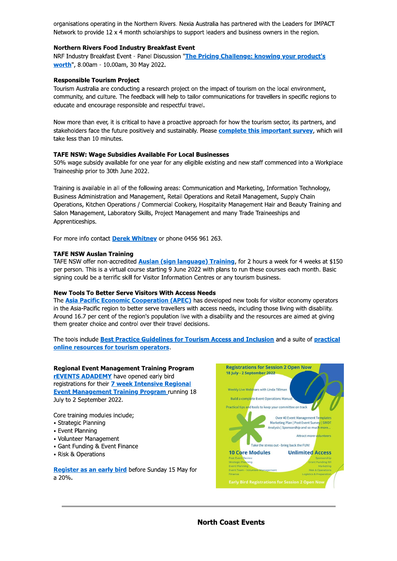organisations operating in the Northern Rivers. Nexia Australia has partnered with the Leaders for IMPACT Network to provide 12 x 4 month scholarships to support leaders and business owners in the region.

## **Northern Rivers Food Industry Breakfast Event**

NRF Industry Breakfast Event - Panel Discussion "The Pricing Challenge: knowing your product's worth", 8.00am - 10.00am, 30 May 2022.

## **Responsible Tourism Project**

Tourism Australia are conducting a research project on the impact of tourism on the local environment, community, and culture. The feedback will help to tailor communications for travellers in specific regions to educate and encourage responsible and respectful travel.

Now more than ever, it is critical to have a proactive approach for how the tourism sector, its partners, and stakeholders face the future positively and sustainably. Please complete this important survey, which will take less than 10 minutes.

#### **TAFE NSW: Wage Subsidies Available For Local Businesses**

50% wage subsidy available for one year for any eligible existing and new staff commenced into a Workplace Traineeship prior to 30th June 2022.

Training is available in all of the following areas: Communication and Marketing, Information Technology, Business Administration and Management, Retail Operations and Retail Management, Supply Chain Operations, Kitchen Operations / Commercial Cookery, Hospitality Management Hair and Beauty Training and Salon Management, Laboratory Skills, Project Management and many Trade Traineeships and Apprenticeships.

For more info contact Derek Whitney or phone 0456 961 263.

#### **TAFE NSW Auslan Training**

TAFE NSW offer non-accredited Auslan (sign language) Training, for 2 hours a week for 4 weeks at \$150 per person. This is a virtual course starting 9 June 2022 with plans to run these courses each month. Basic signing could be a terrific skill for Visitor Information Centres or any tourism business.

#### **New Tools To Better Serve Visitors With Access Needs**

The **Asia Pacific Economic Cooperation (APEC)** has developed new tools for visitor economy operators in the Asia-Pacific region to better serve travellers with access needs, including those living with disability. Around 16.7 per cent of the region's population live with a disability and the resources are aimed at giving them greater choice and control over their travel decisions.

The tools include Best Practice Guidelines for Tourism Access and Inclusion and a suite of practical online resources for tourism operators.

#### **Regional Event Management Training Program**

**rEVENTS ADADEMY** have opened early bird registrations for their 7 week Intensive Regional **Event Management Training Program running 18** July to 2 September 2022.

Core training modules include:

- · Strategic Planning
- Event Planning
- Volunteer Management
- Gant Funding & Event Finance
- Risk & Operations

Register as an early bird before Sunday 15 May for a 20%.